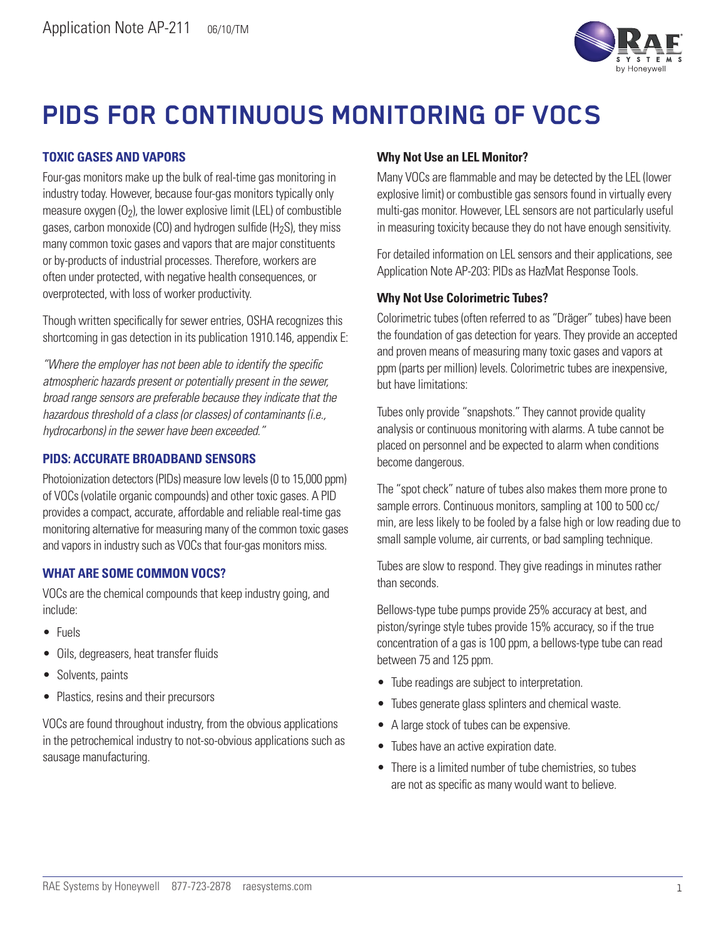

# **PIDS FOR CONTINUOUS MONITORING OF VOCS**

# **TOXIC GASES AND VAPORS**

Four-gas monitors make up the bulk of real-time gas monitoring in industry today. However, because four-gas monitors typically only measure oxygen  $(0_2)$ , the lower explosive limit (LEL) of combustible gases, carbon monoxide (CO) and hydrogen sulfide ( $H<sub>2</sub>S$ ), they miss many common toxic gases and vapors that are major constituents or by-products of industrial processes. Therefore, workers are often under protected, with negative health consequences, or overprotected, with loss of worker productivity.

Though written specifically for sewer entries, OSHA recognizes this shortcoming in gas detection in its publication 1910.146, appendix E:

*"Where the employer has not been able to identify the specific atmospheric hazards present or potentially present in the sewer, broad range sensors are preferable because they indicate that the hazardous threshold of a class (or classes) of contaminants (i.e., hydrocarbons) in the sewer have been exceeded."*

# **PIDS: ACCURATE BROADBAND SENSORS**

Photoionization detectors (PIDs) measure low levels (0 to 15,000 ppm) of VOCs (volatile organic compounds) and other toxic gases. A PID provides a compact, accurate, affordable and reliable real-time gas monitoring alternative for measuring many of the common toxic gases and vapors in industry such as VOCs that four-gas monitors miss.

### **WHAT ARE SOME COMMON VOCS?**

VOCs are the chemical compounds that keep industry going, and include:

- • Fuels
- Oils, degreasers, heat transfer fluids
- Solvents, paints
- • Plastics, resins and their precursors

VOCs are found throughout industry, from the obvious applications in the petrochemical industry to not-so-obvious applications such as sausage manufacturing.

# **Why Not Use an LEL Monitor?**

Many VOCs are flammable and may be detected by the LEL (lower explosive limit) or combustible gas sensors found in virtually every multi-gas monitor. However, LEL sensors are not particularly useful in measuring toxicity because they do not have enough sensitivity.

For detailed information on LEL sensors and their applications, see Application Note AP-203: PIDs as HazMat Response Tools.

### **Why Not Use Colorimetric Tubes?**

Colorimetric tubes (often referred to as "Dräger" tubes) have been the foundation of gas detection for years. They provide an accepted and proven means of measuring many toxic gases and vapors at ppm (parts per million) levels. Colorimetric tubes are inexpensive, but have limitations:

Tubes only provide "snapshots." They cannot provide quality analysis or continuous monitoring with alarms. A tube cannot be placed on personnel and be expected to alarm when conditions become dangerous.

The "spot check" nature of tubes also makes them more prone to sample errors. Continuous monitors, sampling at 100 to 500 cc/ min, are less likely to be fooled by a false high or low reading due to small sample volume, air currents, or bad sampling technique.

Tubes are slow to respond. They give readings in minutes rather than seconds.

Bellows-type tube pumps provide 25% accuracy at best, and piston/syringe style tubes provide 15% accuracy, so if the true concentration of a gas is 100 ppm, a bellows-type tube can read between 75 and 125 ppm.

- Tube readings are subject to interpretation.
- Tubes generate glass splinters and chemical waste.
- A large stock of tubes can be expensive.
- Tubes have an active expiration date.
- There is a limited number of tube chemistries, so tubes are not as specific as many would want to believe.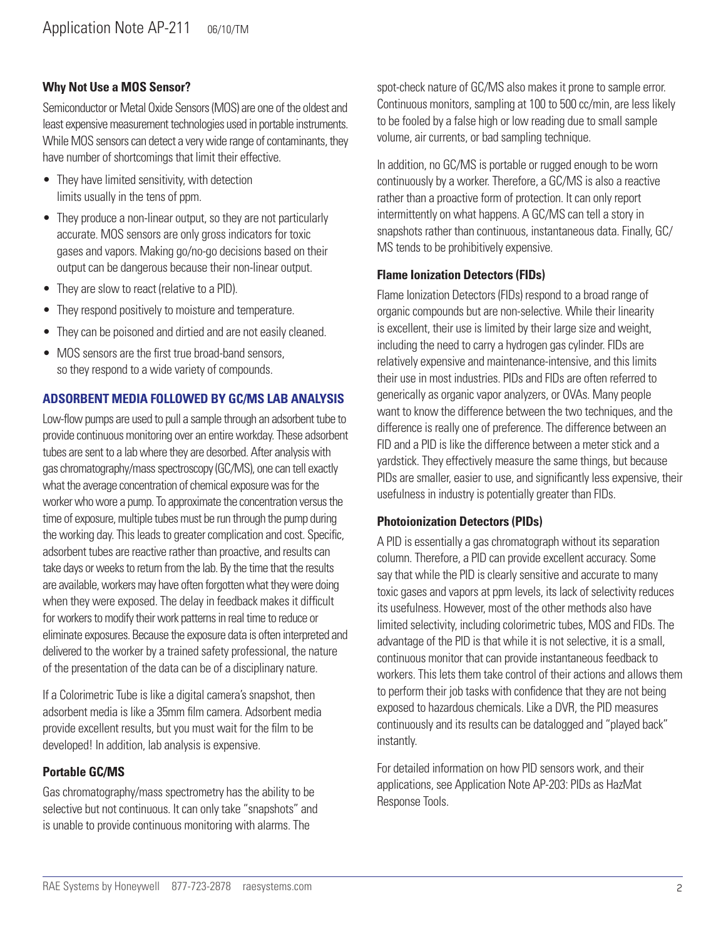# **Why Not Use a MOS Sensor?**

Semiconductor or Metal Oxide Sensors (MOS) are one of the oldest and least expensive measurement technologies used in portable instruments. While MOS sensors can detect a very wide range of contaminants, they have number of shortcomings that limit their effective.

- They have limited sensitivity, with detection limits usually in the tens of ppm.
- They produce a non-linear output, so they are not particularly accurate. MOS sensors are only gross indicators for toxic gases and vapors. Making go/no-go decisions based on their output can be dangerous because their non-linear output.
- They are slow to react (relative to a PID).
- They respond positively to moisture and temperature.
- They can be poisoned and dirtied and are not easily cleaned.
- MOS sensors are the first true broad-band sensors, so they respond to a wide variety of compounds.

#### **ADSORBENT MEDIA FOLLOWED BY GC/MS LAB ANALYSIS**

Low-flow pumps are used to pull a sample through an adsorbent tube to provide continuous monitoring over an entire workday. These adsorbent tubes are sent to a lab where they are desorbed. After analysis with gas chromatography/mass spectroscopy (GC/MS), one can tell exactly what the average concentration of chemical exposure was for the worker who wore a pump. To approximate the concentration versus the time of exposure, multiple tubes must be run through the pump during the working day. This leads to greater complication and cost. Specific, adsorbent tubes are reactive rather than proactive, and results can take days or weeks to return from the lab. By the time that the results are available, workers may have often forgotten what they were doing when they were exposed. The delay in feedback makes it difficult for workers to modify their work patterns in real time to reduce or eliminate exposures. Because the exposure data is often interpreted and delivered to the worker by a trained safety professional, the nature of the presentation of the data can be of a disciplinary nature.

If a Colorimetric Tube is like a digital camera's snapshot, then adsorbent media is like a 35mm film camera. Adsorbent media provide excellent results, but you must wait for the film to be developed! In addition, lab analysis is expensive.

### **Portable GC/MS**

Gas chromatography/mass spectrometry has the ability to be selective but not continuous. It can only take "snapshots" and is unable to provide continuous monitoring with alarms. The

spot-check nature of GC/MS also makes it prone to sample error. Continuous monitors, sampling at 100 to 500 cc/min, are less likely to be fooled by a false high or low reading due to small sample volume, air currents, or bad sampling technique.

In addition, no GC/MS is portable or rugged enough to be worn continuously by a worker. Therefore, a GC/MS is also a reactive rather than a proactive form of protection. It can only report intermittently on what happens. A GC/MS can tell a story in snapshots rather than continuous, instantaneous data. Finally, GC/ MS tends to be prohibitively expensive.

#### **Flame Ionization Detectors (FIDs)**

Flame Ionization Detectors (FIDs) respond to a broad range of organic compounds but are non-selective. While their linearity is excellent, their use is limited by their large size and weight, including the need to carry a hydrogen gas cylinder. FIDs are relatively expensive and maintenance-intensive, and this limits their use in most industries. PIDs and FIDs are often referred to generically as organic vapor analyzers, or OVAs. Many people want to know the difference between the two techniques, and the difference is really one of preference. The difference between an FID and a PID is like the difference between a meter stick and a yardstick. They effectively measure the same things, but because PIDs are smaller, easier to use, and significantly less expensive, their usefulness in industry is potentially greater than FIDs.

#### **Photoionization Detectors (PIDs)**

A PID is essentially a gas chromatograph without its separation column. Therefore, a PID can provide excellent accuracy. Some say that while the PID is clearly sensitive and accurate to many toxic gases and vapors at ppm levels, its lack of selectivity reduces its usefulness. However, most of the other methods also have limited selectivity, including colorimetric tubes, MOS and FIDs. The advantage of the PID is that while it is not selective, it is a small, continuous monitor that can provide instantaneous feedback to workers. This lets them take control of their actions and allows them to perform their job tasks with confidence that they are not being exposed to hazardous chemicals. Like a DVR, the PID measures continuously and its results can be datalogged and "played back" instantly.

For detailed information on how PID sensors work, and their applications, see Application Note AP-203: PIDs as HazMat Response Tools.